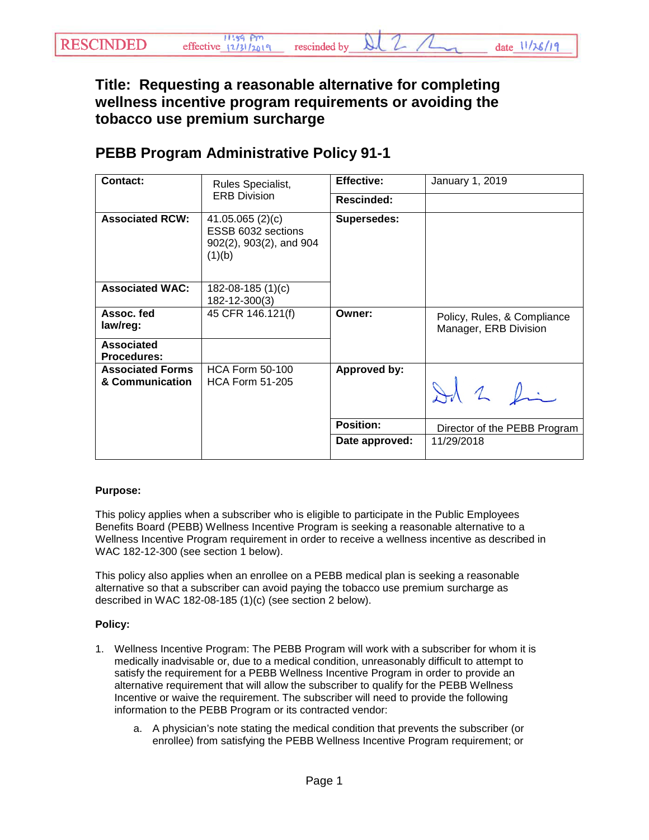**Title: Requesting a reasonable alternative for completing wellness incentive program requirements or avoiding the tobacco use premium surcharge**

## **PEBB Program Administrative Policy 91-1**

| Contact:                                   | Rules Specialist,<br><b>ERB Division</b>                                      | <b>Effective:</b>   | January 1, 2019                                      |
|--------------------------------------------|-------------------------------------------------------------------------------|---------------------|------------------------------------------------------|
|                                            |                                                                               | Rescinded:          |                                                      |
| <b>Associated RCW:</b>                     | 41.05.065 $(2)(c)$<br>ESSB 6032 sections<br>902(2), 903(2), and 904<br>(1)(b) | Supersedes:         |                                                      |
| <b>Associated WAC:</b>                     | 182-08-185 (1)(c)<br>182-12-300(3)                                            |                     |                                                      |
| Assoc. fed<br>law/reg:                     | 45 CFR 146.121(f)                                                             | Owner:              | Policy, Rules, & Compliance<br>Manager, ERB Division |
| <b>Associated</b><br><b>Procedures:</b>    |                                                                               |                     |                                                      |
| <b>Associated Forms</b><br>& Communication | <b>HCA Form 50-100</b><br><b>HCA Form 51-205</b>                              | <b>Approved by:</b> | Id 2 fin                                             |
|                                            |                                                                               | <b>Position:</b>    | Director of the PEBB Program                         |
|                                            |                                                                               | Date approved:      | 11/29/2018                                           |

## **Purpose:**

This policy applies when a subscriber who is eligible to participate in the Public Employees Benefits Board (PEBB) Wellness Incentive Program is seeking a reasonable alternative to a Wellness Incentive Program requirement in order to receive a wellness incentive as described in WAC 182-12-300 (see section 1 below).

This policy also applies when an enrollee on a PEBB medical plan is seeking a reasonable alternative so that a subscriber can avoid paying the tobacco use premium surcharge as described in WAC 182-08-185 (1)(c) (see section 2 below).

## **Policy:**

- 1. Wellness Incentive Program: The PEBB Program will work with a subscriber for whom it is medically inadvisable or, due to a medical condition, unreasonably difficult to attempt to satisfy the requirement for a PEBB Wellness Incentive Program in order to provide an alternative requirement that will allow the subscriber to qualify for the PEBB Wellness Incentive or waive the requirement. The subscriber will need to provide the following information to the PEBB Program or its contracted vendor:
	- a. A physician's note stating the medical condition that prevents the subscriber (or enrollee) from satisfying the PEBB Wellness Incentive Program requirement; or